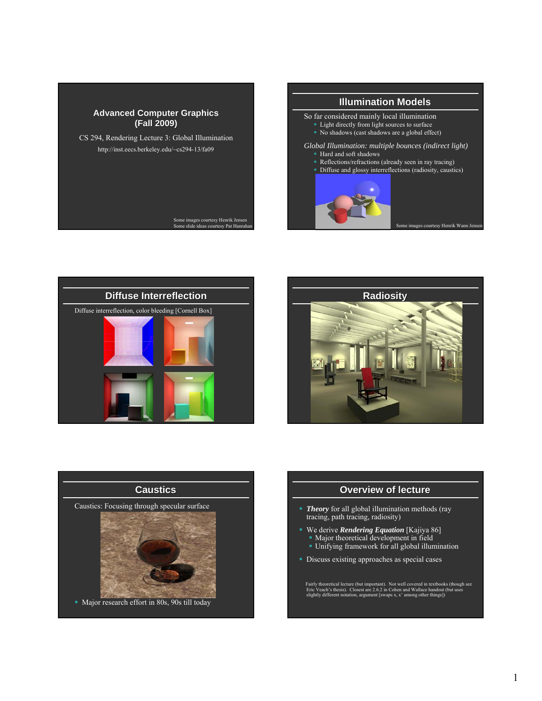









### **Overview of lecture**

- **Theory** for all global illumination methods (ray tracing, path tracing, radiosity)
- We derive *Rendering Equation* [Kajiya 86] **Major theoretical development in field** 
	- Unifying framework for all global illumination
- Discuss existing approaches as special cases

Fairly theoretical lecture (but important). Not well covered in textbooks (though see<br>Eric Veach's thesis). Closest are 2.6.2 in Cohen and Wallace handout (but uses<br>slightly different notation, argument [swaps x, x' among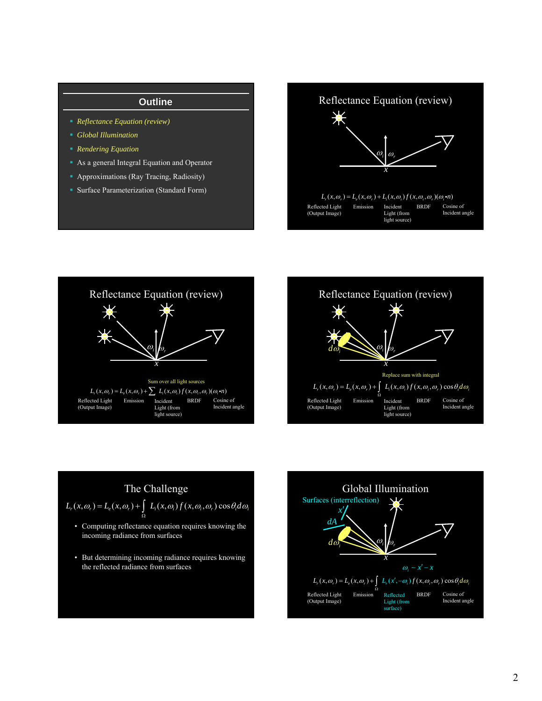## **Outline**

- *Reflectance Equation (review)*
- *Global Illumination*
- *Rendering Equation*
- As a general Integral Equation and Operator
- Approximations (Ray Tracing, Radiosity)
- **Surface Parameterization (Standard Form)**

Reflectance Equation (review) ☀  $\omega_i \mid \omega_r$ *x*  $L_r(x, \omega_r) = L_e(x, \omega_r) + L_i(x, \omega_i) f(x, \omega_i, \omega_r) (\omega_i \cdot n)$ Reflected Light Emission Incident BRDF Cosine of Incident angle (Output Image) Light (from light source)







• But determining incoming radiance requires knowing the reflected radiance from surfaces

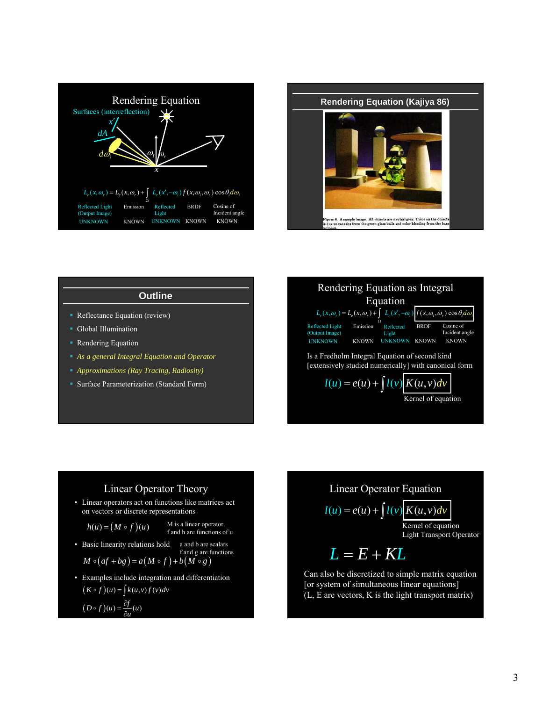



### **Outline**

- **Reflectance Equation (review)**
- **Global Illumination**
- **Rendering Equation**
- *As a general Integral Equation and Operator*
- *Approximations (Ray Tracing, Radiosity)*
- **Surface Parameterization (Standard Form)**



## Linear Operator Theory

• Linear operators act on functions like matrices act on vectors or discrete representations

$$
M
$$
 is a linear operator.  $f$  and  $h$  are functions of  $u$ .

• Basic linearity relations ho

 $h(u) = (M \circ f)(u)$ 

old a and b are scalars  
and g are functions  

$$
f \rightarrow b(M \circ a)
$$

$$
M \circ (af + bg) = a(M \circ f) + b(M \circ g)
$$
  
From the in that integration and different

• Examples include integration and differentiation  $(K \circ f)(u) = \int k(u,v) f(v) dv$ 

$$
(D \circ f)(u) = \frac{\partial f}{\partial u}(u)
$$

Linear Operator Equation  
\n
$$
l(u) = e(u) + \int l(v) \underbrace{K(u, v) dv}_{\text{Kernel of equation}}
$$
\n
$$
L = E + KL
$$
\nn also be discretized to simple matrix equation

Can also be discretized to simple matrix equation [or system of simultaneous linear equations] (L, E are vectors, K is the light transport matrix)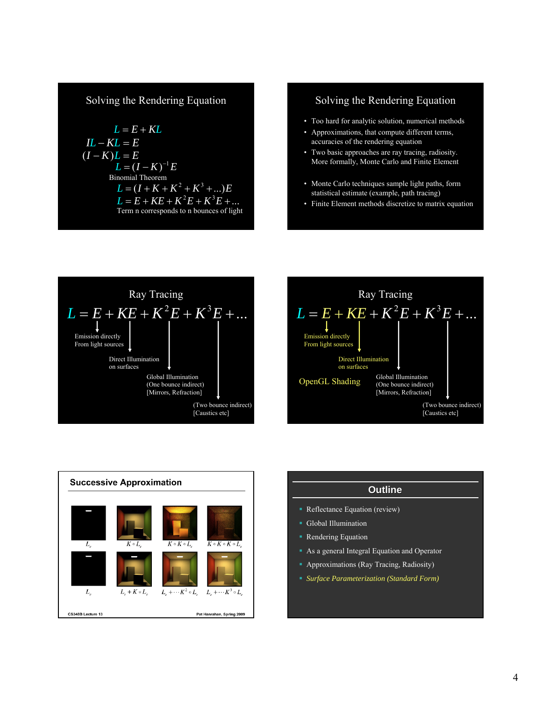# Solving the Rendering Equation

$$
L = E + KL
$$
  
\n
$$
IL - KL = E
$$
  
\n
$$
(I - K)L = E
$$
  
\n
$$
L = (I - K)^{-1}E
$$
  
\nBinomial Theorem  
\n
$$
L = (I + K + K^2 + K^3 + ...)E
$$
  
\n
$$
L = E + KE + K^2E + K^3E + ...
$$
  
\nTerm n corresponds to n bounces of light

# Solving the Rendering Equation

- Too hard for analytic solution, numerical methods
- Approximations, that compute different terms, accuracies of the rendering equation
- Two basic approaches are ray tracing, radiosity. More formally, Monte Carlo and Finite Element
- Monte Carlo techniques sample light paths, form statistical estimate (example, path tracing)
- Finite Element methods discretize to matrix equation







| <b>Outline</b>                                |  |
|-----------------------------------------------|--|
| • Reflectance Equation (review)               |  |
| • Global Illumination                         |  |
| • Rendering Equation                          |  |
| • As a general Integral Equation and Operator |  |
| • Approximations (Ray Tracing, Radiosity)     |  |
| ■ Surface Parameterization (Standard Form)    |  |
|                                               |  |
|                                               |  |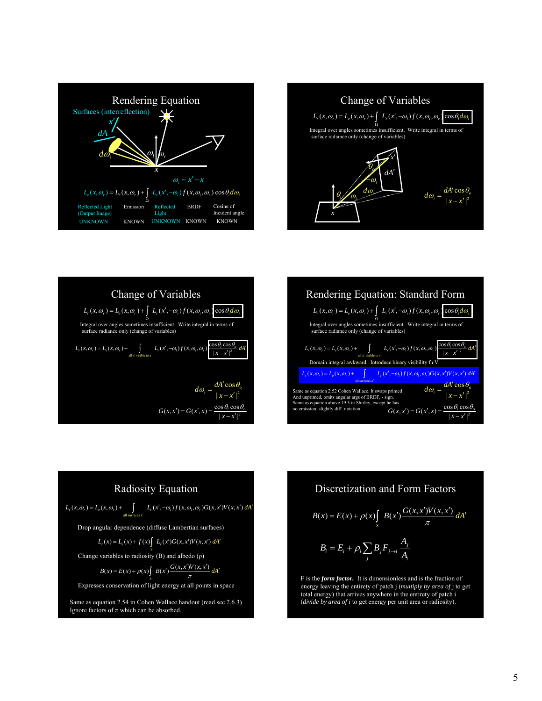











F is the *form factor.* It is dimensionless and is the fraction of energy leaving the entirety of patch j (*multiply by area of* j to get total energy) that arrives anywhere in the entirety of patch i (*divide by area of i* to get energy per unit area or radiosity).